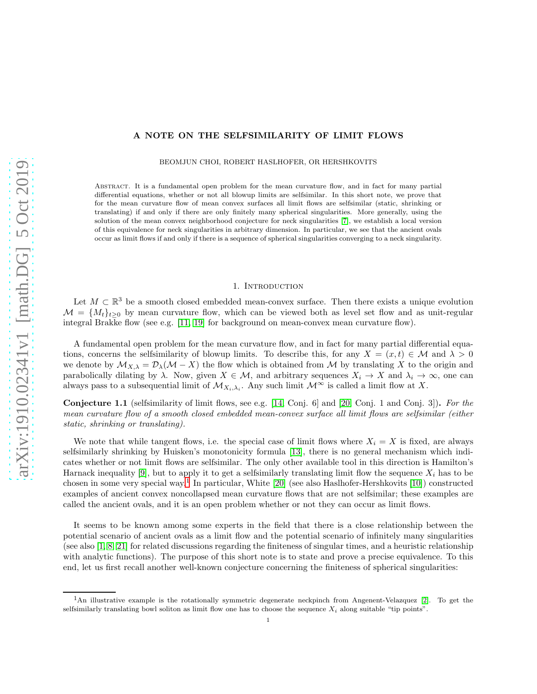# A NOTE ON THE SELFSIMILARITY OF LIMIT FLOWS

BEOMJUN CHOI, ROBERT HASLHOFER, OR HERSHKOVITS

Abstract. It is a fundamental open problem for the mean curvature flow, and in fact for many partial differential equations, whether or not all blowup limits are selfsimilar. In this short note, we prove that for the mean curvature flow of mean convex surfaces all limit flows are selfsimilar (static, shrinking or translating) if and only if there are only finitely many spherical singularities. More generally, using the solution of the mean convex neighborhood conjecture for neck singularities [\[7\]](#page-3-0), we establish a local version of this equivalence for neck singularities in arbitrary dimension. In particular, we see that the ancient ovals occur as limit flows if and only if there is a sequence of spherical singularities converging to a neck singularity.

## 1. INTRODUCTION

Let  $M \subset \mathbb{R}^3$  be a smooth closed embedded mean-convex surface. Then there exists a unique evolution  $M = \{M_t\}_{t\geq 0}$  by mean curvature flow, which can be viewed both as level set flow and as unit-regular integral Brakke flow (see e.g. [\[11,](#page-3-1) [19\]](#page-4-0) for background on mean-convex mean curvature flow).

A fundamental open problem for the mean curvature flow, and in fact for many partial differential equations, concerns the selfsimilarity of blowup limits. To describe this, for any  $X = (x, t) \in \mathcal{M}$  and  $\lambda > 0$ we denote by  $\mathcal{M}_{X,\lambda} = \mathcal{D}_{\lambda}(\mathcal{M} - X)$  the flow which is obtained from M by translating X to the origin and parabolically dilating by  $\lambda$ . Now, given  $X \in \mathcal{M}$ , and arbitrary sequences  $X_i \to X$  and  $\lambda_i \to \infty$ , one can always pass to a subsequential limit of  $\mathcal{M}_{X_i,\lambda_i}$ . Any such limit  $\mathcal{M}^{\infty}$  is called a limit flow at X.

<span id="page-0-1"></span>Conjecture 1.1 (selfsimilarity of limit flows, see e.g. [\[14,](#page-3-2) Conj. 6] and [\[20,](#page-4-1) Conj. 1 and Conj. 3]). For the mean curvature flow of a smooth closed embedded mean-convex surface all limit flows are selfsimilar (either static, shrinking or translating).

We note that while tangent flows, i.e. the special case of limit flows where  $X_i = X$  is fixed, are always selfsimilarly shrinking by Huisken's monotonicity formula [\[13\]](#page-3-3), there is no general mechanism which indicates whether or not limit flows are selfsimilar. The only other available tool in this direction is Hamilton's Harnack inequality [\[9\]](#page-3-4), but to apply it to get a selfsimilarly translating limit flow the sequence  $X_i$  has to be chosen in some very special way.<sup>[1](#page-0-0)</sup> In particular, White [\[20\]](#page-4-1) (see also Haslhofer-Hershkovits [\[10\]](#page-3-5)) constructed examples of ancient convex noncollapsed mean curvature flows that are not selfsimilar; these examples are called the ancient ovals, and it is an open problem whether or not they can occur as limit flows.

It seems to be known among some experts in the field that there is a close relationship between the potential scenario of ancient ovals as a limit flow and the potential scenario of infinitely many singularities (see also [\[1,](#page-3-6) [8,](#page-3-7) [21\]](#page-4-2) for related discussions regarding the finiteness of singular times, and a heuristic relationship with analytic functions). The purpose of this short note is to state and prove a precise equivalence. To this end, let us first recall another well-known conjecture concerning the finiteness of spherical singularities:

<span id="page-0-0"></span><sup>1</sup>An illustrative example is the rotationally symmetric degenerate neckpinch from Angenent-Velazquez [\[2\]](#page-3-8). To get the selfsimilarly translating bowl soliton as limit flow one has to choose the sequence  $X_i$  along suitable "tip points".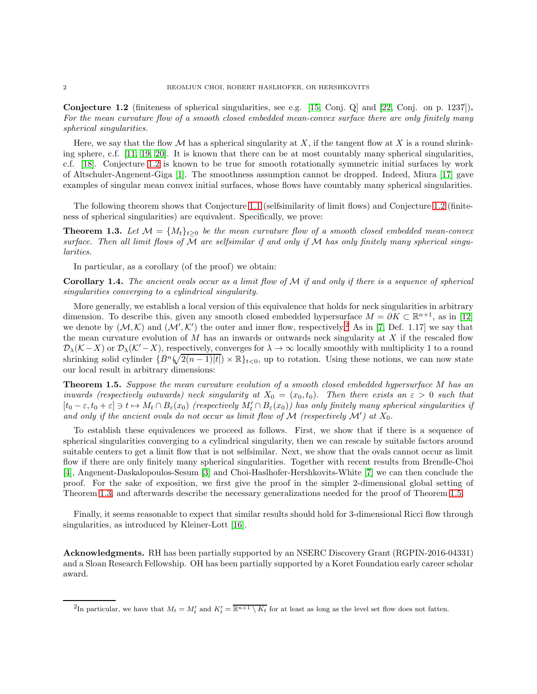<span id="page-1-0"></span>Conjecture 1.2 (finiteness of spherical singularities, see e.g. [\[15,](#page-3-9) Conj. Q] and [\[22,](#page-4-3) Conj. on p. 1237]). For the mean curvature flow of a smooth closed embedded mean-convex surface there are only finitely many spherical singularities.

Here, we say that the flow M has a spherical singularity at X, if the tangent flow at X is a round shrinking sphere, c.f. [\[11,](#page-3-1) [19,](#page-4-0) [20\]](#page-4-1). It is known that there can be at most countably many spherical singularities, c.f. [\[18\]](#page-4-4). Conjecture [1.2](#page-1-0) is known to be true for smooth rotationally symmetric initial surfaces by work of Altschuler-Angenent-Giga [\[1\]](#page-3-6). The smoothness assumption cannot be dropped. Indeed, Miura [\[17\]](#page-4-5) gave examples of singular mean convex initial surfaces, whose flows have countably many spherical singularities.

The following theorem shows that Conjecture [1.1](#page-0-1) (selfsimilarity of limit flows) and Conjecture [1.2](#page-1-0) (finiteness of spherical singularities) are equivalent. Specifically, we prove:

<span id="page-1-2"></span>**Theorem 1.3.** Let  $\mathcal{M} = \{M_t\}_{t>0}$  be the mean curvature flow of a smooth closed embedded mean-convex surface. Then all limit flows of  $\mathcal M$  are selfsimilar if and only if  $\mathcal M$  has only finitely many spherical singularities.

In particular, as a corollary (of the proof) we obtain:

**Corollary 1.4.** The ancient ovals occur as a limit flow of  $M$  if and only if there is a sequence of spherical singularities converging to a cylindrical singularity.

More generally, we establish a local version of this equivalence that holds for neck singularities in arbitrary dimension. To describe this, given any smooth closed embedded hypersurface  $M = \partial K \subset \mathbb{R}^{n+1}$ , as in [\[12\]](#page-3-10) we denote by  $(M,K)$  and  $(M',K')$  the outer and inner flow, respectively.<sup>[2](#page-1-1)</sup> As in [\[7,](#page-3-0) Def. 1.17] we say that the mean curvature evolution of  $M$  has an inwards or outwards neck singularity at  $X$  if the rescaled flow  $\mathcal{D}_{\lambda}(\mathcal{K} - X)$  or  $\mathcal{D}_{\lambda}(\mathcal{K}' - X)$ , respectively, converges for  $\lambda \to \infty$  locally smoothly with multiplicity 1 to a round shrinking solid cylinder  $\{\bar{B}^n(\sqrt{2(n-1)|t|}) \times \mathbb{R}\}_{t<0}$ , up to rotation. Using these notions, we can now state our local result in arbitrary dimensions:

<span id="page-1-3"></span>Theorem 1.5. Suppose the mean curvature evolution of a smooth closed embedded hypersurface M has an inwards (respectively outwards) neck singularity at  $X_0 = (x_0, t_0)$ . Then there exists an  $\varepsilon > 0$  such that  $[t_0 - \varepsilon, t_0 + \varepsilon] \ni t \mapsto M_t \cap B_{\varepsilon}(x_0)$  (respectively  $M'_t \cap B_{\varepsilon}(x_0)$ ) has only finitely many spherical singularities if and only if the ancient ovals do not occur as limit flow of  $\mathcal M$  (respectively  $\mathcal M'$ ) at  $X_0$ .

To establish these equivalences we proceed as follows. First, we show that if there is a sequence of spherical singularities converging to a cylindrical singularity, then we can rescale by suitable factors around suitable centers to get a limit flow that is not selfsimilar. Next, we show that the ovals cannot occur as limit flow if there are only finitely many spherical singularities. Together with recent results from Brendle-Choi [\[4\]](#page-3-11), Angenent-Daskalopoulos-Sesum [\[3\]](#page-3-12) and Choi-Haslhofer-Hershkovits-White [\[7\]](#page-3-0) we can then conclude the proof. For the sake of exposition, we first give the proof in the simpler 2-dimensional global setting of Theorem [1.3,](#page-1-2) and afterwards describe the necessary generalizations needed for the proof of Theorem [1.5.](#page-1-3)

Finally, it seems reasonable to expect that similar results should hold for 3-dimensional Ricci flow through singularities, as introduced by Kleiner-Lott [\[16\]](#page-4-6).

Acknowledgments. RH has been partially supported by an NSERC Discovery Grant (RGPIN-2016-04331) and a Sloan Research Fellowship. OH has been partially supported by a Koret Foundation early career scholar award.

<span id="page-1-1"></span><sup>&</sup>lt;sup>2</sup>In particular, we have that  $M_t = M'_t$  and  $K'_t = \overline{\mathbb{R}^{n+1} \setminus K_t}$  for at least as long as the level set flow does not fatten.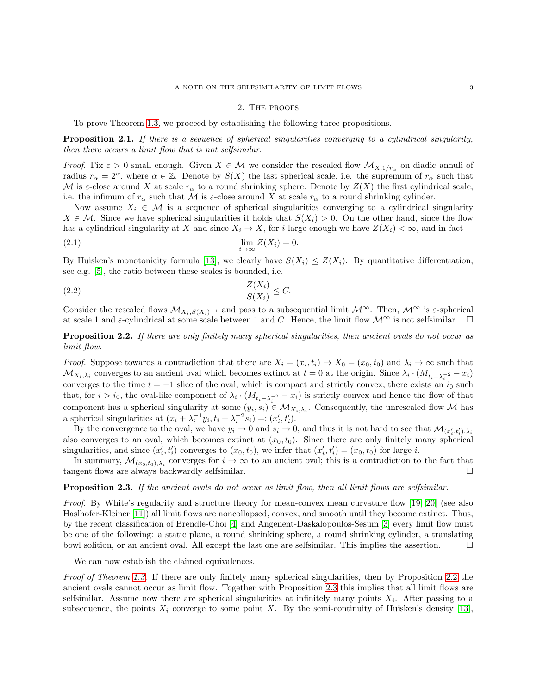## 2. The proofs

To prove Theorem [1.3,](#page-1-2) we proceed by establishing the following three propositions.

<span id="page-2-2"></span>**Proposition 2.1.** If there is a sequence of spherical singularities converging to a cylindrical singularity, then there occurs a limit flow that is not selfsimilar.

*Proof.* Fix  $\varepsilon > 0$  small enough. Given  $X \in \mathcal{M}$  we consider the rescaled flow  $\mathcal{M}_{X,1/r_{\alpha}}$  on diadic annuli of radius  $r_{\alpha} = 2^{\alpha}$ , where  $\alpha \in \mathbb{Z}$ . Denote by  $S(X)$  the last spherical scale, i.e. the supremum of  $r_{\alpha}$  such that M is  $\varepsilon$ -close around X at scale  $r_{\alpha}$  to a round shrinking sphere. Denote by  $Z(X)$  the first cylindrical scale, i.e. the infimum of  $r_{\alpha}$  such that M is  $\varepsilon$ -close around X at scale  $r_{\alpha}$  to a round shrinking cylinder.

Now assume  $X_i \in \mathcal{M}$  is a sequence of spherical singularities converging to a cylindrical singularity  $X \in \mathcal{M}$ . Since we have spherical singularities it holds that  $S(X_i) > 0$ . On the other hand, since the flow has a cylindrical singularity at X and since  $X_i \to X$ , for i large enough we have  $Z(X_i) < \infty$ , and in fact

$$
\lim_{i \to \infty} Z(X_i) = 0.
$$

By Huisken's monotonicity formula [\[13\]](#page-3-3), we clearly have  $S(X_i) \leq Z(X_i)$ . By quantitative differentiation, see e.g. [\[5\]](#page-3-13), the ratio between these scales is bounded, i.e.

$$
\frac{Z(X_i)}{S(X_i)} \le C.
$$

Consider the rescaled flows  $\mathcal{M}_{X_i,S(X_i)^{-1}}$  and pass to a subsequential limit  $\mathcal{M}^{\infty}$ . Then,  $\mathcal{M}^{\infty}$  is  $\varepsilon$ -spherical at scale 1 and  $\varepsilon$ -cylindrical at some scale between 1 and C. Hence, the limit flow  $\mathcal{M}^{\infty}$  is not selfsimilar.  $\square$ 

<span id="page-2-0"></span>Proposition 2.2. If there are only finitely many spherical singularities, then ancient ovals do not occur as limit flow.

*Proof.* Suppose towards a contradiction that there are  $X_i = (x_i, t_i) \to X_0 = (x_0, t_0)$  and  $\lambda_i \to \infty$  such that  $\mathcal{M}_{X_i,\lambda_i}$  converges to an ancient oval which becomes extinct at  $t=0$  at the origin. Since  $\lambda_i \cdot (M_{t_i-\lambda_i^{-2}}-x_i)$ converges to the time  $t = -1$  slice of the oval, which is compact and strictly convex, there exists an  $i_0$  such that, for  $i > i_0$ , the oval-like component of  $\lambda_i \cdot (M_{t_i - \lambda_i^{-2}} - x_i)$  is strictly convex and hence the flow of that component has a spherical singularity at some  $(y_i, s_i) \in M_{X_i, \lambda_i}$ . Consequently, the unrescaled flow M has a spherical singularities at  $(x_i + \lambda_i^{-1}y_i, t_i + \lambda_i^{-2}s_i) =: (x'_i, t'_i)$ .

By the convergence to the oval, we have  $y_i \to 0$  and  $s_i \to 0$ , and thus it is not hard to see that  $\mathcal{M}_{(x'_i,t'_i),\lambda_i}$ also converges to an oval, which becomes extinct at  $(x_0, t_0)$ . Since there are only finitely many spherical singularities, and since  $(x'_i, t'_i)$  converges to  $(x_0, t_0)$ , we infer that  $(x'_i, t'_i) = (x_0, t_0)$  for large *i*.

In summary,  $\mathcal{M}_{(x_0,t_0),\lambda_i}$  converges for  $i \to \infty$  to an ancient oval; this is a contradiction to the fact that tangent flows are always backwardly selfsimilar.

# <span id="page-2-1"></span>Proposition 2.3. If the ancient ovals do not occur as limit flow, then all limit flows are selfsimilar.

Proof. By White's regularity and structure theory for mean-convex mean curvature flow [\[19,](#page-4-0) [20\]](#page-4-1) (see also Haslhofer-Kleiner [\[11\]](#page-3-1)) all limit flows are noncollapsed, convex, and smooth until they become extinct. Thus, by the recent classification of Brendle-Choi [\[4\]](#page-3-11) and Angenent-Daskalopoulos-Sesum [\[3\]](#page-3-12) every limit flow must be one of the following: a static plane, a round shrinking sphere, a round shrinking cylinder, a translating bowl solition, or an ancient oval. All except the last one are selfsimilar. This implies the assertion.

We can now establish the claimed equivalences.

Proof of Theorem [1.3.](#page-1-2) If there are only finitely many spherical singularities, then by Proposition [2.2](#page-2-0) the ancient ovals cannot occur as limit flow. Together with Proposition [2.3](#page-2-1) this implies that all limit flows are selfsimilar. Assume now there are spherical singularities at infinitely many points  $X_i$ . After passing to a subsequence, the points  $X_i$  converge to some point X. By the semi-continuity of Huisken's density [\[13\]](#page-3-3),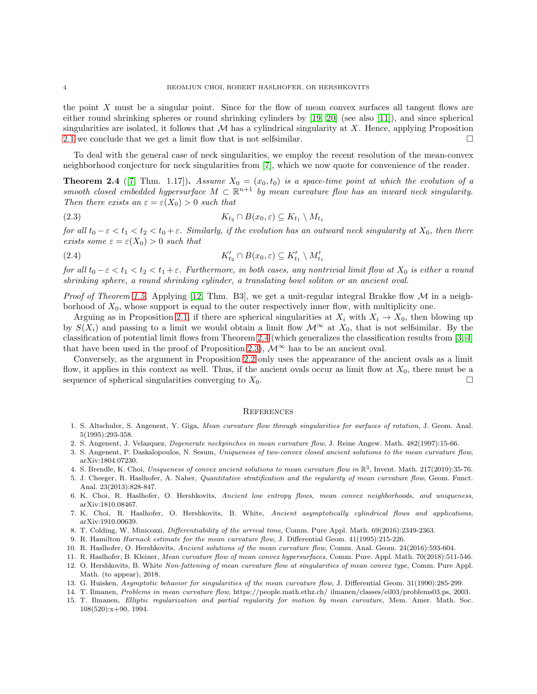the point X must be a singular point. Since for the flow of mean convex surfaces all tangent flows are either round shrinking spheres or round shrinking cylinders by [\[19,](#page-4-0) [20\]](#page-4-1) (see also [\[11\]](#page-3-1)), and since spherical singularities are isolated, it follows that  $M$  has a cylindrical singularity at X. Hence, applying Proposition [2.1](#page-2-2) we conclude that we get a limit flow that is not selfsimilar.  $\square$ 

To deal with the general case of neck singularities, we employ the recent resolution of the mean-convex neighborhood conjecture for neck singularities from [\[7\]](#page-3-0), which we now quote for convenience of the reader.

<span id="page-3-14"></span>**Theorem 2.4** ([\[7,](#page-3-0) Thm. 1.17]). Assume  $X_0 = (x_0, t_0)$  is a space-time point at which the evolution of a smooth closed embedded hypersurface  $M \subset \mathbb{R}^{n+1}$  by mean curvature flow has an inward neck singularity. Then there exists an  $\varepsilon = \varepsilon(X_0) > 0$  such that

$$
(2.3) \t K_{t_2} \cap B(x_0, \varepsilon) \subseteq K_{t_1} \setminus M_{t_1}
$$

for all  $t_0 - \varepsilon < t_1 < t_2 < t_0 + \varepsilon$ . Similarly, if the evolution has an outward neck singularity at  $X_0$ , then there exists some  $\varepsilon = \varepsilon(X_0) > 0$  such that

$$
(2.4) \t K'_{t_2} \cap B(x_0, \varepsilon) \subseteq K'_{t_1} \setminus M'_{t_1}
$$

for all  $t_0 - \varepsilon < t_1 < t_2 < t_1 + \varepsilon$ . Furthermore, in both cases, any nontrivial limit flow at  $X_0$  is either a round shrinking sphere, a round shrinking cylinder, a translating bowl soliton or an ancient oval.

*Proof of Theorem [1.5.](#page-1-3)* Applying [\[12,](#page-3-10) Thm. B3], we get a unit-regular integral Brakke flow  $\mathcal M$  in a neighborhood of  $X_0$ , whose support is equal to the outer respectively inner flow, with multiplicity one.

Arguing as in Proposition [2.1,](#page-2-2) if there are spherical singularities at  $X_i$  with  $X_i \to X_0$ , then blowing up by  $S(X_i)$  and passing to a limit we would obtain a limit flow  $\mathcal{M}^{\infty}$  at  $X_0$ , that is not selfsimilar. By the classification of potential limit flows from Theorem [2.4](#page-3-14) (which generalizes the classification results from [\[3,](#page-3-12) [4\]](#page-3-11) that have been used in the proof of Proposition [2.3\)](#page-2-1),  $\mathcal{M}^{\infty}$  has to be an ancient oval.

Conversely, as the argument in Proposition [2.2](#page-2-0) only uses the appearance of the ancient ovals as a limit flow, it applies in this context as well. Thus, if the ancient ovals occur as limit flow at  $X_0$ , there must be a sequence of spherical singularities converging to  $X_0$ .

## **REFERENCES**

- <span id="page-3-6"></span>1. S. Altschuler, S. Angenent, Y. Giga, Mean curvature flow through singularities for surfaces of rotation, J. Geom. Anal. 5(1995):293-358.
- <span id="page-3-12"></span><span id="page-3-8"></span>2. S. Angenent, J. Velazquez, Degenerate neckpinches in mean curvature flow, J. Reine Angew. Math. 482(1997):15-66.
- <span id="page-3-11"></span>3. S. Angenent, P. Daskalopoulos, N. Sesum, Uniqueness of two-convex closed ancient solutions to the mean curvature flow, arXiv:1804.07230.
- <span id="page-3-13"></span>4. S. Brendle, K. Choi, Uniqueness of convex ancient solutions to mean curvature flow in  $\mathbb{R}^3$ , Invent. Math. 217(2019):35-76.
- 5. J. Cheeger, R. Haslhofer, A. Naber, Quantitative stratification and the regularity of mean curvature flow, Geom. Funct. Anal. 23(2013):828-847.
- <span id="page-3-0"></span>6. K. Choi, R. Haslhofer, O. Hershkovits, Ancient low entropy flows, mean convex neighborhoods, and uniqueness, arXiv:1810.08467.
- 7. K. Choi, R. Haslhofer, O. Hershkovits, B. White, Ancient asymptotically cylindrical flows and applications, arXiv:1910.00639.
- <span id="page-3-7"></span><span id="page-3-4"></span>8. T. Colding, W. Minicozzi, Differentiability of the arrival time, Comm. Pure Appl. Math. 69(2016):2349-2363.
- <span id="page-3-5"></span>9. R. Hamilton Harnack estimate for the mean curvature flow, J. Differential Geom. 41(1995):215-226.
- <span id="page-3-1"></span>10. R. Haslhofer, O. Hershkovits, Ancient solutions of the mean curvature flow, Comm. Anal. Geom. 24(2016):593-604.
- <span id="page-3-10"></span>11. R. Haslhofer, B. Kleiner, Mean curvature flow of mean convex hypersurfaces, Comm. Pure. Appl. Math. 70(2018):511-546.
- 12. O. Hershkovits, B. White Non-fattening of mean curvature flow at singularities of mean convex type, Comm. Pure Appl. Math. (to appear), 2018.
- <span id="page-3-3"></span><span id="page-3-2"></span>13. G. Huisken, Asymptotic behavior for singularities of the mean curvature flow, J. Differential Geom. 31(1990):285-299.
- <span id="page-3-9"></span>14. T. Ilmanen, Problems in mean curvature flow, https://people.math.ethz.ch/ ilmanen/classes/eil03/problems03.ps, 2003.
- 15. T. Ilmanen, Elliptic regularization and partial regularity for motion by mean curvature, Mem. Amer. Math. Soc. 108(520):x+90, 1994.